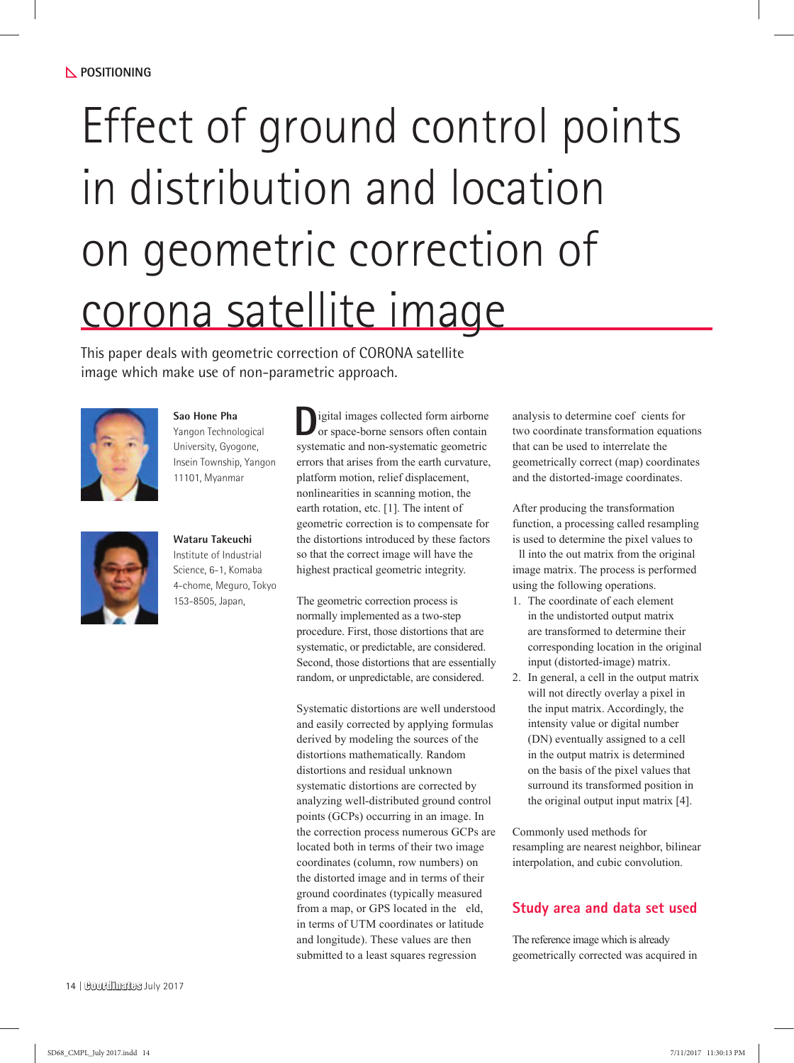# Effect of ground control points in distribution and location on geometric correction of corona satellite image

This paper deals with geometric correction of CORONA satellite image which make use of non-parametric approach.



**Sao Hone Pha** Yangon Technological University, Gyogone, Insein Township, Yangon 11101, Myanmar



**Wataru Takeuchi** Institute of Industrial Science, 6-1, Komaba 4-chome, Meguro, Tokyo 153-8505, Japan,

**D**igital images collected form airborne or space-borne sensors often contain systematic and non-systematic geometric errors that arises from the earth curvature, platform motion, relief displacement, nonlinearities in scanning motion, the earth rotation, etc. [1]. The intent of geometric correction is to compensate for the distortions introduced by these factors so that the correct image will have the highest practical geometric integrity.

The geometric correction process is normally implemented as a two-step procedure. First, those distortions that are systematic, or predictable, are considered. Second, those distortions that are essentially random, or unpredictable, are considered.

Systematic distortions are well understood and easily corrected by applying formulas derived by modeling the sources of the distortions mathematically. Random distortions and residual unknown systematic distortions are corrected by analyzing well-distributed ground control points (GCPs) occurring in an image. In the correction process numerous GCPs are located both in terms of their two image coordinates (column, row numbers) on the distorted image and in terms of their ground coordinates (typically measured from a map, or GPS located in the eld, in terms of UTM coordinates or latitude and longitude). These values are then submitted to a least squares regression

analysis to determine coef cients for two coordinate transformation equations that can be used to interrelate the geometrically correct (map) coordinates and the distorted-image coordinates.

After producing the transformation function, a processing called resampling is used to determine the pixel values to ll into the out matrix from the original image matrix. The process is performed using the following operations.

- 1. The coordinate of each element in the undistorted output matrix are transformed to determine their corresponding location in the original input (distorted-image) matrix.
- 2. In general, a cell in the output matrix will not directly overlay a pixel in the input matrix. Accordingly, the intensity value or digital number (DN) eventually assigned to a cell in the output matrix is determined on the basis of the pixel values that surround its transformed position in the original output input matrix [4].

Commonly used methods for resampling are nearest neighbor, bilinear interpolation, and cubic convolution.

# **Study area and data set used**

The reference image which is already geometrically corrected was acquired in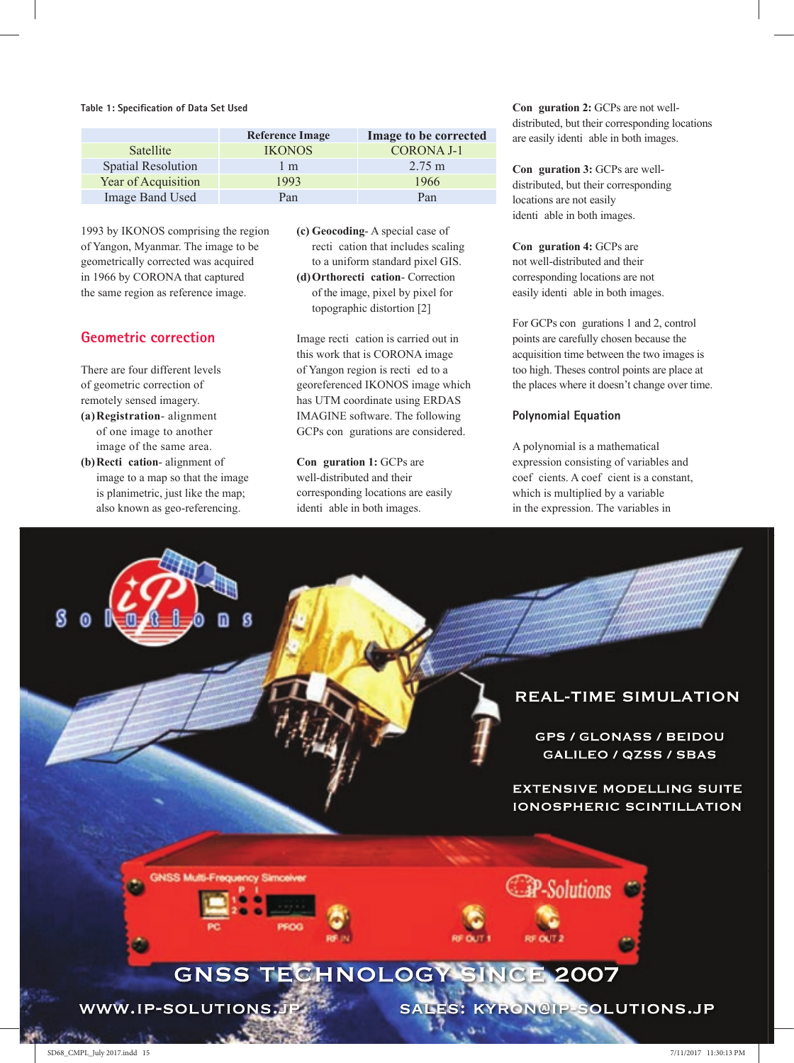**Table 1: Specification of Data Set Used** 

|                           | <b>Reference Image</b> | Image to be corrected |  |
|---------------------------|------------------------|-----------------------|--|
| <b>Satellite</b>          | <b>IKONOS</b>          | <b>CORONA J-1</b>     |  |
| <b>Spatial Resolution</b> | 1 m                    | $2.75 \text{ m}$      |  |
| Year of Acquisition       | 1993                   | 1966                  |  |
| Image Band Used           | Pan                    | Pan                   |  |

1993 by IKONOS comprising the region of Yangon, Myanmar. The image to be geometrically corrected was acquired in 1966 by CORONA that captured the same region as reference image.

# **Geometric correction**

There are four different levels of geometric correction of remotely sensed imagery. **(a) Registration**- alignment

- of one image to another image of the same area. **(b) Recti cation**- alignment of
- image to a map so that the image is planimetric, just like the map; also known as geo-referencing.

**(c) Geocoding**- A special case of recti cation that includes scaling to a uniform standard pixel GIS. **(d) Orthorecti cation**- Correction of the image, pixel by pixel for topographic distortion [2]

Image recti cation is carried out in this work that is CORONA image of Yangon region is recti ed to a georeferenced IKONOS image which has UTM coordinate using ERDAS IMAGINE software. The following GCPs con gurations are considered.

**Con guration 1:** GCPs are well-distributed and their corresponding locations are easily identi able in both images.

**Con guration 2:** GCPs are not welldistributed, but their corresponding locations are easily identi able in both images.

**Con guration 3:** GCPs are welldistributed, but their corresponding locations are not easily identi able in both images.

**Con guration 4:** GCPs are not well-distributed and their corresponding locations are not easily identi able in both images.

For GCPs con gurations 1 and 2, control points are carefully chosen because the acquisition time between the two images is too high. Theses control points are place at the places where it doesn't change over time.

### **Polynomial Equation**

A polynomial is a mathematical expression consisting of variables and coef cients. A coef cient is a constant, which is multiplied by a variable in the expression. The variables in

# **REAL-TIME SIMULATION**

**GPS / GLONASS / BEIDOU GALILEO / QZSS / SBAS** 

**EXTENSIVE MODELLING SUITE IONOSPHERIC SCINTILLATION** 



WWW.IP-SOLUTIONS.JP

SALES: KYRON@IP-SOLUTIONS.JP

**CP-Solutions**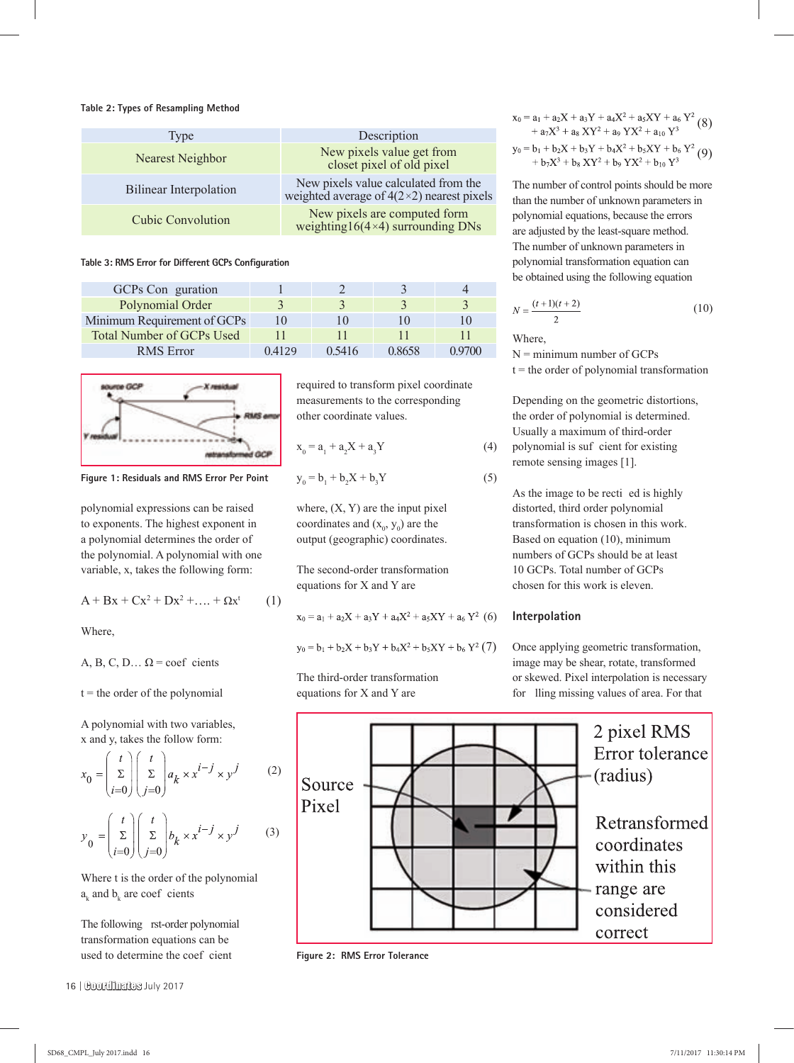#### **Table 2: Types of Resampling Method**

| Type                          | Description                                                                              |  |  |
|-------------------------------|------------------------------------------------------------------------------------------|--|--|
| Nearest Neighbor              | New pixels value get from<br>closet pixel of old pixel                                   |  |  |
| <b>Bilinear Interpolation</b> | New pixels value calculated from the<br>weighted average of $4(2\times2)$ nearest pixels |  |  |
| <b>Cubic Convolution</b>      | New pixels are computed form<br>weighting $16(4\times4)$ surrounding DNs                 |  |  |

**Table 3: RMS Error for Different GCPs Configuration** 

| GCPs Conguration                 |            |        |        |        |
|----------------------------------|------------|--------|--------|--------|
| Polynomial Order                 |            |        |        |        |
| Minimum Requirement of GCPs      | $\vert$ () |        |        |        |
| <b>Total Number of GCPs Used</b> |            |        |        |        |
| <b>RMS</b> Error                 | 04129      | 0.5416 | 0.8658 | N 9700 |



**Figure 1: Residuals and RMS Error Per Point**

polynomial expressions can be raised to exponents. The highest exponent in a polynomial determines the order of the polynomial. A polynomial with one variable, x, takes the following form:

$$
A + Bx + Cx^2 + Dx^2 + \dots + \Omega x^t \tag{1}
$$

Where,

A, B, C, D... 
$$
\Omega
$$
 = coef clients

 $t =$  the order of the polynomial

A polynomial with two variables, x and y, takes the follow form:

$$
x_0 = \begin{pmatrix} t \\ \Sigma \\ i=0 \end{pmatrix} \begin{pmatrix} t \\ \Sigma \\ j=0 \end{pmatrix} a_k \times x^{i-j} \times y^j
$$
 (2)  

$$
y_0 = \begin{pmatrix} t \\ \Sigma \\ i=0 \end{pmatrix} \begin{pmatrix} t \\ \Sigma \\ j=0 \end{pmatrix} b_k \times x^{i-j} \times y^j
$$
 (3)

Where t is the order of the polynomial  $a_k$  and  $b_k$  are coef cients

The following rst-order polynomial transformation equations can be used to determine the coef cient

required to transform pixel coordinate measurements to the corresponding other coordinate values.

$$
x_0 = a_1 + a_2 X + a_3 Y \tag{4}
$$

$$
y_0 = b_1 + b_2 X + b_3 Y
$$

where,  $(X, Y)$  are the input pixel coordinates and  $(x_0, y_0)$  are the output (geographic) coordinates.

The second-order transformation equations for X and Y are

$$
x_0 = a_1 + a_2X + a_3Y + a_4X^2 + a_5XY + a_6Y^2
$$
 (6)

$$
y_0 = b_1 + b_2 X + b_3 Y + b_4 X^2 + b_5 XY + b_6 Y^2 (7)
$$

The third-order transformation equations for X and Y are

$$
\begin{array}{l} x_0 = a_1 + a_2 X + a_3 Y + a_4 X^2 + a_5 X Y + a_6 Y^2 \\ \quad + a_7 X^3 + a_8 X Y^2 + a_9 Y X^2 + a_{10} Y^3 \end{array} \tag{8}
$$

$$
y_0 = b_1 + b_2X + b_3Y + b_4X^2 + b_5XY + b_6Y^2
$$
  
+ 
$$
b_7X^3 + b_8XY^2 + b_9YX^2 + b_{10}Y^3
$$
 (9)

The number of control points should be more than the number of unknown parameters in polynomial equations, because the errors are adjusted by the least-square method. The number of unknown parameters in polynomial transformation equation can be obtained using the following equation

$$
N = \frac{(t+1)(t+2)}{2}
$$
 (10)

Where,

 $(5)$ 

 $N =$  minimum number of GCPs  $t =$  the order of polynomial transformation

Depending on the geometric distortions, the order of polynomial is determined. Usually a maximum of third-order polynomial is suf cient for existing remote sensing images [1].

As the image to be recti ed is highly distorted, third order polynomial transformation is chosen in this work. Based on equation (10), minimum numbers of GCPs should be at least 10 GCPs. Total number of GCPs chosen for this work is eleven.

### **Interpolation**

Once applying geometric transformation, image may be shear, rotate, transformed or skewed. Pixel interpolation is necessary for lling missing values of area. For that



**Figure 2: RMS Error Tolerance**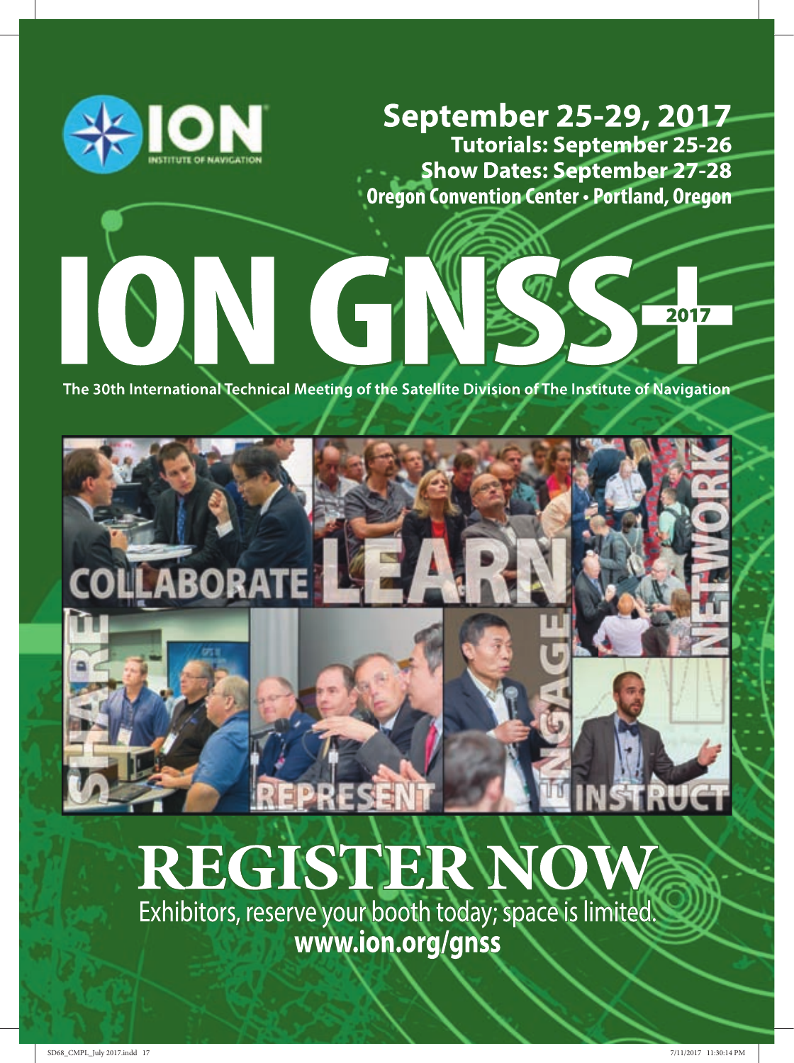

SING?

**September 25-29, 2017** Tutorials: September 25-26 **Show Dates: September 27-28 Oregon Convention Center · Portland, Oregon** 

2017

The 30th International Technical Meeting of the Satellite Division of The Institute of Navigation



# REGISTERNO

Exhibitors, reserve your booth today; space is limited. www.ion.org/gnss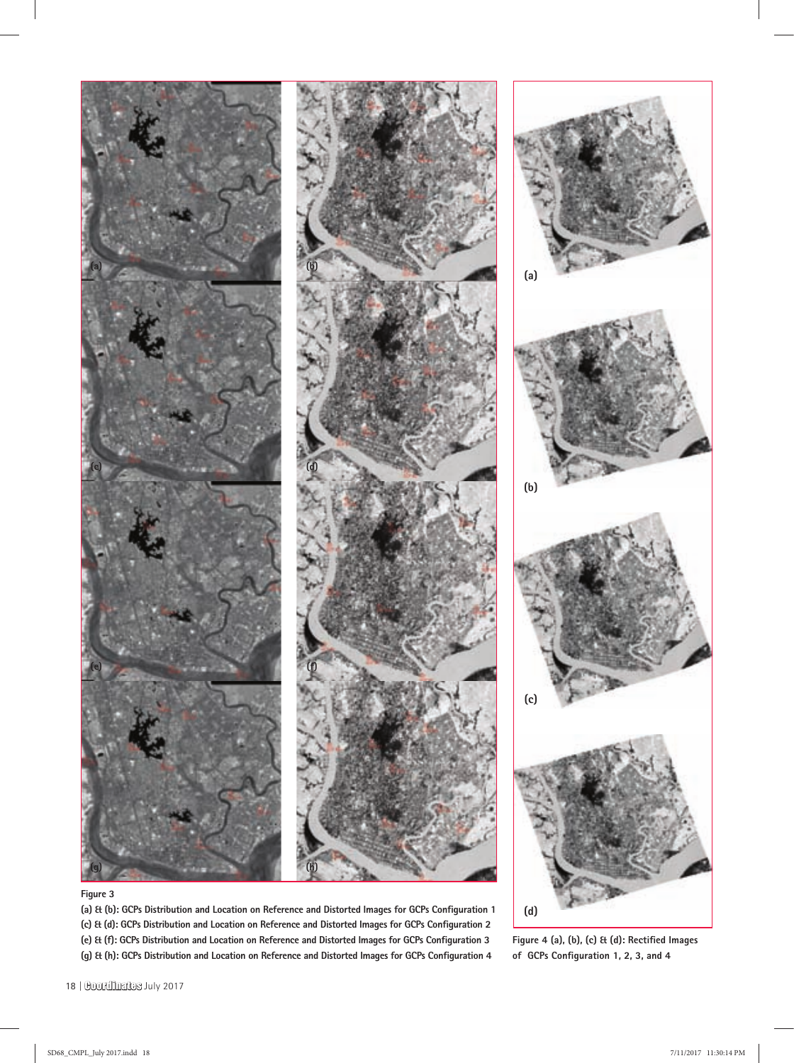

(a) & (b): GCPs Distribution and Location on Reference and Distorted Images for GCPs Configuration 1 (c) Et (d): GCPs Distribution and Location on Reference and Distorted Images for GCPs Configuration 2 (e) & (f): GCPs Distribution and Location on Reference and Distorted Images for GCPs Configuration 3 (g) Et (h): GCPs Distribution and Location on Reference and Distorted Images for GCPs Configuration 4

Figure 4 (a), (b), (c) & (d): Rectified Images of GCPs Configuration 1, 2, 3, and 4

**(d)**